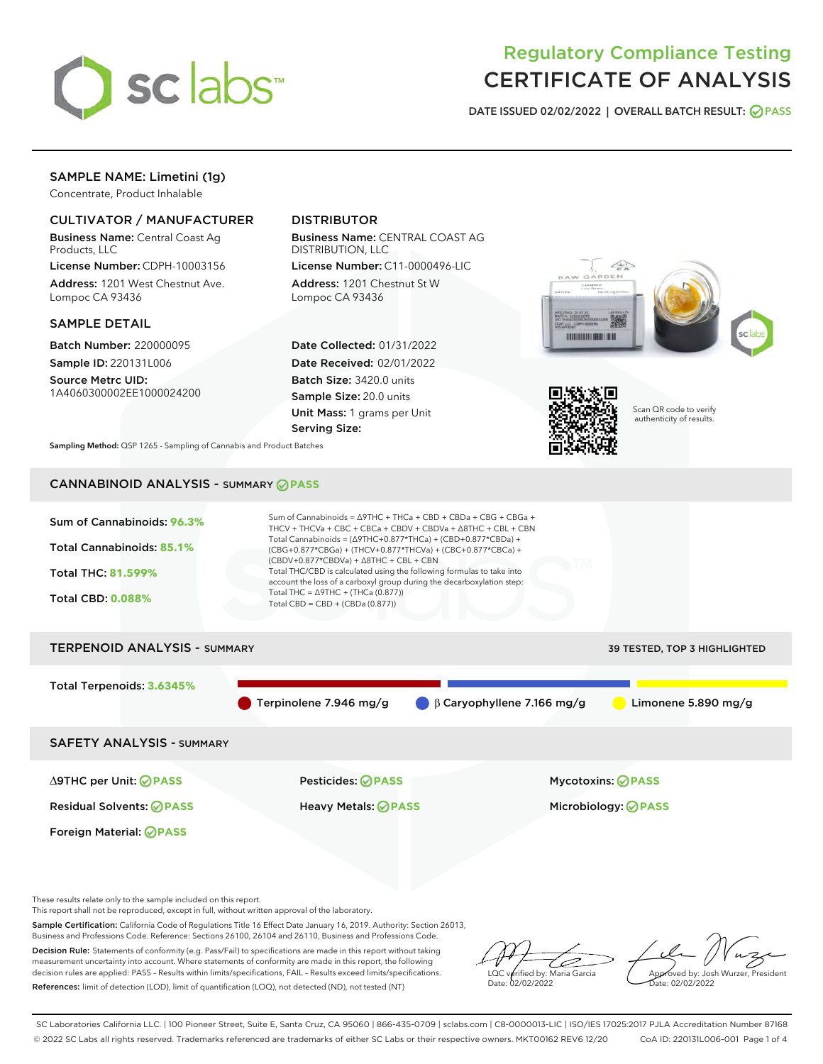

# Regulatory Compliance Testing CERTIFICATE OF ANALYSIS

DATE ISSUED 02/02/2022 | OVERALL BATCH RESULT: @ PASS

# SAMPLE NAME: Limetini (1g)

Concentrate, Product Inhalable

# CULTIVATOR / MANUFACTURER

Business Name: Central Coast Ag Products, LLC

License Number: CDPH-10003156 Address: 1201 West Chestnut Ave. Lompoc CA 93436

## SAMPLE DETAIL

Batch Number: 220000095 Sample ID: 220131L006

Source Metrc UID: 1A4060300002EE1000024200

# DISTRIBUTOR

Business Name: CENTRAL COAST AG DISTRIBUTION, LLC

License Number: C11-0000496-LIC Address: 1201 Chestnut St W Lompoc CA 93436

Date Collected: 01/31/2022 Date Received: 02/01/2022 Batch Size: 3420.0 units Sample Size: 20.0 units Unit Mass: 1 grams per Unit Serving Size:





Scan QR code to verify authenticity of results.

Sampling Method: QSP 1265 - Sampling of Cannabis and Product Batches

# CANNABINOID ANALYSIS - SUMMARY **PASS**



These results relate only to the sample included on this report.

This report shall not be reproduced, except in full, without written approval of the laboratory.

Sample Certification: California Code of Regulations Title 16 Effect Date January 16, 2019. Authority: Section 26013, Business and Professions Code. Reference: Sections 26100, 26104 and 26110, Business and Professions Code.

Decision Rule: Statements of conformity (e.g. Pass/Fail) to specifications are made in this report without taking measurement uncertainty into account. Where statements of conformity are made in this report, the following decision rules are applied: PASS – Results within limits/specifications, FAIL – Results exceed limits/specifications. References: limit of detection (LOD), limit of quantification (LOQ), not detected (ND), not tested (NT)

ىر LQC verified by: Maria Garcia Date: 02/02/2022

Approved by: Josh Wurzer, President ate: 02/02/2022

SC Laboratories California LLC. | 100 Pioneer Street, Suite E, Santa Cruz, CA 95060 | 866-435-0709 | sclabs.com | C8-0000013-LIC | ISO/IES 17025:2017 PJLA Accreditation Number 87168 © 2022 SC Labs all rights reserved. Trademarks referenced are trademarks of either SC Labs or their respective owners. MKT00162 REV6 12/20 CoA ID: 220131L006-001 Page 1 of 4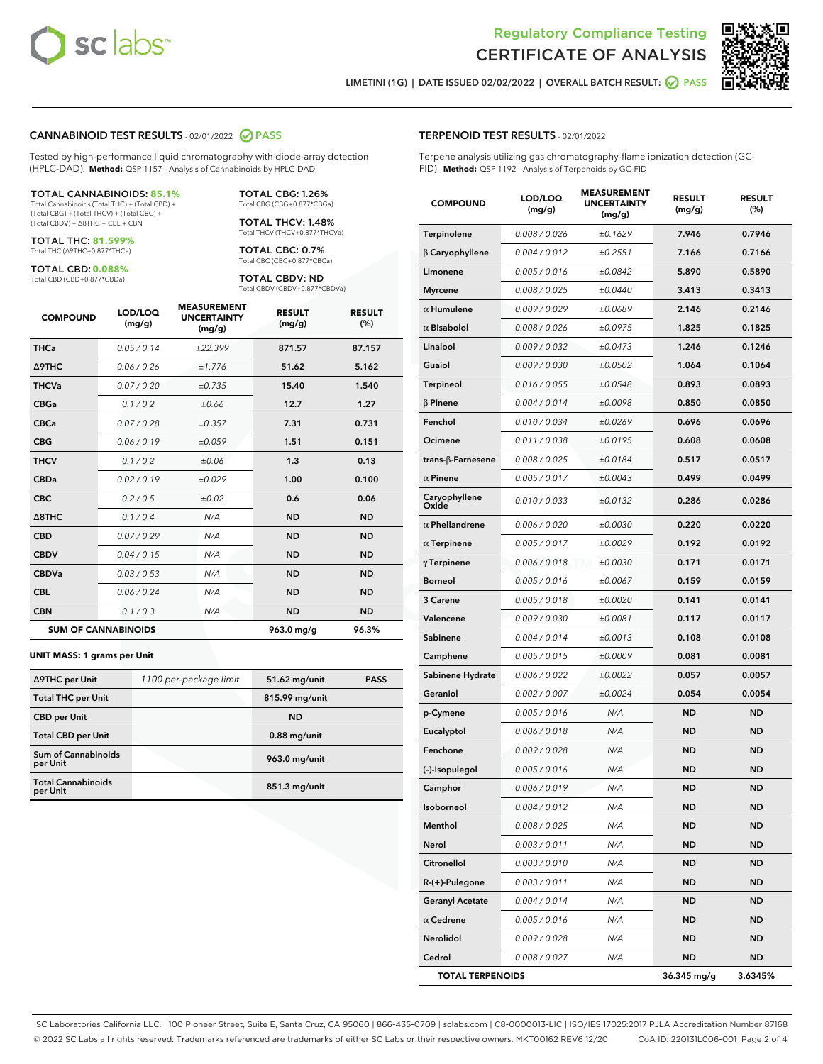



LIMETINI (1G) | DATE ISSUED 02/02/2022 | OVERALL BATCH RESULT:  $\bigcirc$  PASS

#### CANNABINOID TEST RESULTS - 02/01/2022 2 PASS

Tested by high-performance liquid chromatography with diode-array detection (HPLC-DAD). **Method:** QSP 1157 - Analysis of Cannabinoids by HPLC-DAD

#### TOTAL CANNABINOIDS: **85.1%**

Total Cannabinoids (Total THC) + (Total CBD) + (Total CBG) + (Total THCV) + (Total CBC) + (Total CBDV) + ∆8THC + CBL + CBN

TOTAL THC: **81.599%** Total THC (∆9THC+0.877\*THCa)

TOTAL CBD: **0.088%**

Total CBD (CBD+0.877\*CBDa)

TOTAL CBG: 1.26% Total CBG (CBG+0.877\*CBGa)

TOTAL THCV: 1.48% Total THCV (THCV+0.877\*THCVa)

TOTAL CBC: 0.7% Total CBC (CBC+0.877\*CBCa)

TOTAL CBDV: ND Total CBDV (CBDV+0.877\*CBDVa)

| <b>COMPOUND</b>  | LOD/LOQ<br>(mg/g)          | <b>MEASUREMENT</b><br><b>UNCERTAINTY</b><br>(mg/g) | <b>RESULT</b><br>(mg/g) | <b>RESULT</b><br>(%) |
|------------------|----------------------------|----------------------------------------------------|-------------------------|----------------------|
| <b>THCa</b>      | 0.05 / 0.14                | ±22.399                                            | 871.57                  | 87.157               |
| <b>A9THC</b>     | 0.06 / 0.26                | ±1.776                                             | 51.62                   | 5.162                |
| <b>THCVa</b>     | 0.07 / 0.20                | ±0.735                                             | 15.40                   | 1.540                |
| <b>CBGa</b>      | 0.1/0.2                    | ±0.66                                              | 12.7                    | 1.27                 |
| <b>CBCa</b>      | 0.07/0.28                  | ±0.357                                             | 7.31                    | 0.731                |
| <b>CBG</b>       | 0.06/0.19                  | ±0.059                                             | 1.51                    | 0.151                |
| <b>THCV</b>      | 0.1/0.2                    | ±0.06                                              | 1.3                     | 0.13                 |
| <b>CBDa</b>      | 0.02/0.19                  | ±0.029                                             | 1.00                    | 0.100                |
| <b>CBC</b>       | 0.2 / 0.5                  | ±0.02                                              | 0.6                     | 0.06                 |
| $\triangle$ 8THC | 0.1/0.4                    | N/A                                                | <b>ND</b>               | <b>ND</b>            |
| <b>CBD</b>       | 0.07/0.29                  | N/A                                                | <b>ND</b>               | <b>ND</b>            |
| <b>CBDV</b>      | 0.04 / 0.15                | N/A                                                | <b>ND</b>               | <b>ND</b>            |
| <b>CBDVa</b>     | 0.03 / 0.53                | N/A                                                | <b>ND</b>               | <b>ND</b>            |
| <b>CBL</b>       | 0.06 / 0.24                | N/A                                                | <b>ND</b>               | <b>ND</b>            |
| <b>CBN</b>       | 0.1/0.3                    | N/A                                                | <b>ND</b>               | <b>ND</b>            |
|                  | <b>SUM OF CANNABINOIDS</b> |                                                    | 963.0 mg/g              | 96.3%                |

#### **UNIT MASS: 1 grams per Unit**

| ∆9THC per Unit                        | 1100 per-package limit | 51.62 mg/unit  | <b>PASS</b> |
|---------------------------------------|------------------------|----------------|-------------|
| <b>Total THC per Unit</b>             |                        | 815.99 mg/unit |             |
| <b>CBD</b> per Unit                   |                        | <b>ND</b>      |             |
| <b>Total CBD per Unit</b>             |                        | $0.88$ mg/unit |             |
| Sum of Cannabinoids<br>per Unit       |                        | 963.0 mg/unit  |             |
| <b>Total Cannabinoids</b><br>per Unit |                        | 851.3 mg/unit  |             |

#### TERPENOID TEST RESULTS - 02/01/2022

Terpene analysis utilizing gas chromatography-flame ionization detection (GC-FID). **Method:** QSP 1192 - Analysis of Terpenoids by GC-FID

| <b>COMPOUND</b>           | LOD/LOQ<br>(mg/g) | <b>MEASUREMENT</b><br><b>UNCERTAINTY</b><br>(mg/g) | <b>RESULT</b><br>(mg/g) | <b>RESULT</b><br>(%) |
|---------------------------|-------------------|----------------------------------------------------|-------------------------|----------------------|
| Terpinolene               | 0.008 / 0.026     | ±0.1629                                            | 7.946                   | 0.7946               |
| $\beta$ Caryophyllene     | 0.004 / 0.012     | ±0.2551                                            | 7.166                   | 0.7166               |
| Limonene                  | 0.005 / 0.016     | ±0.0842                                            | 5.890                   | 0.5890               |
| <b>Myrcene</b>            | 0.008 / 0.025     | ±0.0440                                            | 3.413                   | 0.3413               |
| $\alpha$ Humulene         | 0.009/0.029       | ±0.0689                                            | 2.146                   | 0.2146               |
| $\alpha$ Bisabolol        | 0.008 / 0.026     | ±0.0975                                            | 1.825                   | 0.1825               |
| Linalool                  | 0.009 / 0.032     | ±0.0473                                            | 1.246                   | 0.1246               |
| Guaiol                    | 0.009 / 0.030     | ±0.0502                                            | 1.064                   | 0.1064               |
| <b>Terpineol</b>          | 0.016 / 0.055     | ±0.0548                                            | 0.893                   | 0.0893               |
| $\beta$ Pinene            | 0.004 / 0.014     | ±0.0098                                            | 0.850                   | 0.0850               |
| Fenchol                   | 0.010 / 0.034     | ±0.0269                                            | 0.696                   | 0.0696               |
| Ocimene                   | 0.011 / 0.038     | ±0.0195                                            | 0.608                   | 0.0608               |
| trans- $\beta$ -Farnesene | 0.008 / 0.025     | ±0.0184                                            | 0.517                   | 0.0517               |
| $\alpha$ Pinene           | 0.005 / 0.017     | ±0.0043                                            | 0.499                   | 0.0499               |
| Caryophyllene<br>Oxide    | 0.010 / 0.033     | ±0.0132                                            | 0.286                   | 0.0286               |
| $\alpha$ Phellandrene     | 0.006 / 0.020     | ±0.0030                                            | 0.220                   | 0.0220               |
| $\alpha$ Terpinene        | 0.005 / 0.017     | ±0.0029                                            | 0.192                   | 0.0192               |
| $\gamma$ Terpinene        | 0.006 / 0.018     | ±0.0030                                            | 0.171                   | 0.0171               |
| <b>Borneol</b>            | 0.005 / 0.016     | ±0.0067                                            | 0.159                   | 0.0159               |
| 3 Carene                  | 0.005 / 0.018     | ±0.0020                                            | 0.141                   | 0.0141               |
| Valencene                 | 0.009 / 0.030     | ±0.0081                                            | 0.117                   | 0.0117               |
| Sabinene                  | 0.004 / 0.014     | ±0.0013                                            | 0.108                   | 0.0108               |
| Camphene                  | 0.005 / 0.015     | ±0.0009                                            | 0.081                   | 0.0081               |
| Sabinene Hydrate          | 0.006 / 0.022     | ±0.0022                                            | 0.057                   | 0.0057               |
| Geraniol                  | 0.002 / 0.007     | ±0.0024                                            | 0.054                   | 0.0054               |
| p-Cymene                  | 0.005 / 0.016     | N/A                                                | ND                      | <b>ND</b>            |
| Eucalyptol                | 0.006 / 0.018     | N/A                                                | <b>ND</b>               | <b>ND</b>            |
| Fenchone                  | 0.009 / 0.028     | N/A                                                | ND                      | <b>ND</b>            |
| (-)-Isopulegol            | 0.005 / 0.016     | N/A                                                | <b>ND</b>               | <b>ND</b>            |
| Camphor                   | 0.006 / 0.019     | N/A                                                | <b>ND</b>               | <b>ND</b>            |
| Isoborneol                | 0.004 / 0.012     | N/A                                                | ND                      | ND                   |
| Menthol                   | 0.008 / 0.025     | N/A                                                | <b>ND</b>               | <b>ND</b>            |
| Nerol                     | 0.003 / 0.011     | N/A                                                | <b>ND</b>               | <b>ND</b>            |
| Citronellol               | 0.003 / 0.010     | N/A                                                | ND                      | ND                   |
| R-(+)-Pulegone            | 0.003 / 0.011     | N/A                                                | ND                      | <b>ND</b>            |
| <b>Geranyl Acetate</b>    | 0.004 / 0.014     | N/A                                                | <b>ND</b>               | <b>ND</b>            |
| $\alpha$ Cedrene          | 0.005 / 0.016     | N/A                                                | ND                      | ND                   |
| Nerolidol                 | 0.009 / 0.028     | N/A                                                | <b>ND</b>               | <b>ND</b>            |
| Cedrol                    | 0.008 / 0.027     | N/A                                                | <b>ND</b>               | ND                   |
| <b>TOTAL TERPENOIDS</b>   |                   |                                                    | 36.345 mg/g             | 3.6345%              |

SC Laboratories California LLC. | 100 Pioneer Street, Suite E, Santa Cruz, CA 95060 | 866-435-0709 | sclabs.com | C8-0000013-LIC | ISO/IES 17025:2017 PJLA Accreditation Number 87168 © 2022 SC Labs all rights reserved. Trademarks referenced are trademarks of either SC Labs or their respective owners. MKT00162 REV6 12/20 CoA ID: 220131L006-001 Page 2 of 4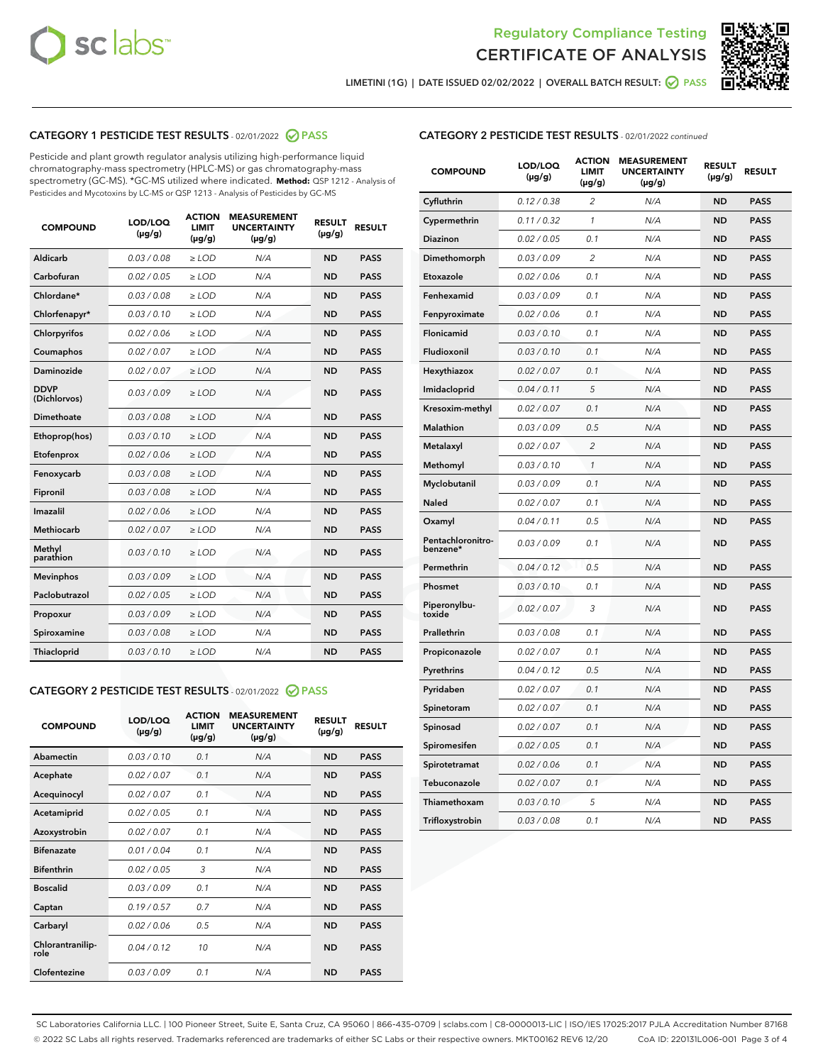



LIMETINI (1G) | DATE ISSUED 02/02/2022 | OVERALL BATCH RESULT:  $\bigcirc$  PASS

# CATEGORY 1 PESTICIDE TEST RESULTS - 02/01/2022 2 PASS

Pesticide and plant growth regulator analysis utilizing high-performance liquid chromatography-mass spectrometry (HPLC-MS) or gas chromatography-mass spectrometry (GC-MS). \*GC-MS utilized where indicated. **Method:** QSP 1212 - Analysis of Pesticides and Mycotoxins by LC-MS or QSP 1213 - Analysis of Pesticides by GC-MS

| <b>COMPOUND</b>             | LOD/LOQ<br>$(\mu g/g)$ | <b>ACTION</b><br><b>LIMIT</b><br>$(\mu g/g)$ | <b>MEASUREMENT</b><br><b>UNCERTAINTY</b><br>$(\mu g/g)$ | <b>RESULT</b><br>$(\mu g/g)$ | <b>RESULT</b> |
|-----------------------------|------------------------|----------------------------------------------|---------------------------------------------------------|------------------------------|---------------|
| Aldicarb                    | 0.03 / 0.08            | $\ge$ LOD                                    | N/A                                                     | <b>ND</b>                    | <b>PASS</b>   |
| Carbofuran                  | 0.02 / 0.05            | $\ge$ LOD                                    | N/A                                                     | <b>ND</b>                    | <b>PASS</b>   |
| Chlordane*                  | 0.03 / 0.08            | $\ge$ LOD                                    | N/A                                                     | <b>ND</b>                    | <b>PASS</b>   |
| Chlorfenapyr*               | 0.03/0.10              | $\ge$ LOD                                    | N/A                                                     | <b>ND</b>                    | <b>PASS</b>   |
| Chlorpyrifos                | 0.02 / 0.06            | $\ge$ LOD                                    | N/A                                                     | <b>ND</b>                    | <b>PASS</b>   |
| Coumaphos                   | 0.02 / 0.07            | $\ge$ LOD                                    | N/A                                                     | <b>ND</b>                    | <b>PASS</b>   |
| Daminozide                  | 0.02/0.07              | $\ge$ LOD                                    | N/A                                                     | <b>ND</b>                    | <b>PASS</b>   |
| <b>DDVP</b><br>(Dichlorvos) | 0.03/0.09              | $>$ LOD                                      | N/A                                                     | <b>ND</b>                    | <b>PASS</b>   |
| Dimethoate                  | 0.03 / 0.08            | $\ge$ LOD                                    | N/A                                                     | <b>ND</b>                    | <b>PASS</b>   |
| Ethoprop(hos)               | 0.03/0.10              | $>$ LOD                                      | N/A                                                     | <b>ND</b>                    | <b>PASS</b>   |
| Etofenprox                  | 0.02 / 0.06            | $\ge$ LOD                                    | N/A                                                     | <b>ND</b>                    | <b>PASS</b>   |
| Fenoxycarb                  | 0.03 / 0.08            | $\ge$ LOD                                    | N/A                                                     | <b>ND</b>                    | <b>PASS</b>   |
| Fipronil                    | 0.03/0.08              | $>$ LOD                                      | N/A                                                     | <b>ND</b>                    | <b>PASS</b>   |
| Imazalil                    | 0.02 / 0.06            | $\ge$ LOD                                    | N/A                                                     | <b>ND</b>                    | <b>PASS</b>   |
| <b>Methiocarb</b>           | 0.02 / 0.07            | $\ge$ LOD                                    | N/A                                                     | <b>ND</b>                    | <b>PASS</b>   |
| Methyl<br>parathion         | 0.03/0.10              | $\ge$ LOD                                    | N/A                                                     | <b>ND</b>                    | <b>PASS</b>   |
| <b>Mevinphos</b>            | 0.03/0.09              | $\ge$ LOD                                    | N/A                                                     | <b>ND</b>                    | <b>PASS</b>   |
| Paclobutrazol               | 0.02 / 0.05            | $\ge$ LOD                                    | N/A                                                     | <b>ND</b>                    | <b>PASS</b>   |
| Propoxur                    | 0.03/0.09              | $\ge$ LOD                                    | N/A                                                     | <b>ND</b>                    | <b>PASS</b>   |
| Spiroxamine                 | 0.03/0.08              | $\ge$ LOD                                    | N/A                                                     | <b>ND</b>                    | <b>PASS</b>   |
| Thiacloprid                 | 0.03/0.10              | $\ge$ LOD                                    | N/A                                                     | <b>ND</b>                    | <b>PASS</b>   |

#### CATEGORY 2 PESTICIDE TEST RESULTS - 02/01/2022 2 PASS

| <b>COMPOUND</b>          | LOD/LOO<br>$(\mu g/g)$ | <b>ACTION</b><br>LIMIT<br>$(\mu g/g)$ | <b>MEASUREMENT</b><br><b>UNCERTAINTY</b><br>$(\mu g/g)$ | <b>RESULT</b><br>$(\mu g/g)$ | <b>RESULT</b> |  |
|--------------------------|------------------------|---------------------------------------|---------------------------------------------------------|------------------------------|---------------|--|
| Abamectin                | 0.03/0.10              | 0.1                                   | N/A                                                     | <b>ND</b>                    | <b>PASS</b>   |  |
| Acephate                 | 0.02/0.07              | 0.1                                   | N/A                                                     | <b>ND</b>                    | <b>PASS</b>   |  |
| Acequinocyl              | 0.02/0.07              | 0.1                                   | N/A                                                     | <b>ND</b>                    | <b>PASS</b>   |  |
| Acetamiprid              | 0.02/0.05              | 0.1                                   | N/A                                                     | <b>ND</b>                    | <b>PASS</b>   |  |
| Azoxystrobin             | 0.02/0.07              | 0.1                                   | N/A                                                     | <b>ND</b>                    | <b>PASS</b>   |  |
| <b>Bifenazate</b>        | 0.01 / 0.04            | 0.1                                   | N/A                                                     | <b>ND</b>                    | <b>PASS</b>   |  |
| <b>Bifenthrin</b>        | 0.02/0.05              | 3                                     | N/A                                                     | <b>ND</b>                    | <b>PASS</b>   |  |
| <b>Boscalid</b>          | 0.03/0.09              | 0.1                                   | N/A                                                     | <b>ND</b>                    | <b>PASS</b>   |  |
| Captan                   | 0.19/0.57              | 0.7                                   | N/A                                                     | <b>ND</b>                    | <b>PASS</b>   |  |
| Carbaryl                 | 0.02/0.06              | 0.5                                   | N/A                                                     | <b>ND</b>                    | <b>PASS</b>   |  |
| Chlorantranilip-<br>role | 0.04/0.12              | 10                                    | N/A                                                     | <b>ND</b>                    | <b>PASS</b>   |  |
| Clofentezine             | 0.03/0.09              | 0.1                                   | N/A                                                     | <b>ND</b>                    | <b>PASS</b>   |  |

| <b>CATEGORY 2 PESTICIDE TEST RESULTS</b> - 02/01/2022 continued |  |
|-----------------------------------------------------------------|--|
|                                                                 |  |

| <b>COMPOUND</b>               | LOD/LOQ<br>(µg/g) | <b>ACTION</b><br>LIMIT<br>$(\mu g/g)$ | <b>MEASUREMENT</b><br><b>UNCERTAINTY</b><br>$(\mu g/g)$ | <b>RESULT</b><br>(µg/g) | <b>RESULT</b> |
|-------------------------------|-------------------|---------------------------------------|---------------------------------------------------------|-------------------------|---------------|
| Cyfluthrin                    | 0.12 / 0.38       | 2                                     | N/A                                                     | ND                      | <b>PASS</b>   |
| Cypermethrin                  | 0.11 / 0.32       | 1                                     | N/A                                                     | ND                      | <b>PASS</b>   |
| Diazinon                      | 0.02 / 0.05       | 0.1                                   | N/A                                                     | ND                      | PASS          |
| Dimethomorph                  | 0.03 / 0.09       | 2                                     | N/A                                                     | ND                      | <b>PASS</b>   |
| Etoxazole                     | 0.02 / 0.06       | 0.1                                   | N/A                                                     | ND                      | PASS          |
| Fenhexamid                    | 0.03 / 0.09       | 0.1                                   | N/A                                                     | ND                      | <b>PASS</b>   |
| Fenpyroximate                 | 0.02 / 0.06       | 0.1                                   | N/A                                                     | <b>ND</b>               | <b>PASS</b>   |
| Flonicamid                    | 0.03 / 0.10       | 0.1                                   | N/A                                                     | <b>ND</b>               | <b>PASS</b>   |
| Fludioxonil                   | 0.03 / 0.10       | 0.1                                   | N/A                                                     | ND                      | <b>PASS</b>   |
| Hexythiazox                   | 0.02 / 0.07       | 0.1                                   | N/A                                                     | <b>ND</b>               | <b>PASS</b>   |
| Imidacloprid                  | 0.04 / 0.11       | 5                                     | N/A                                                     | <b>ND</b>               | <b>PASS</b>   |
| Kresoxim-methyl               | 0.02 / 0.07       | 0.1                                   | N/A                                                     | ND                      | <b>PASS</b>   |
| Malathion                     | 0.03 / 0.09       | 0.5                                   | N/A                                                     | <b>ND</b>               | <b>PASS</b>   |
| Metalaxyl                     | 0.02 / 0.07       | $\overline{2}$                        | N/A                                                     | <b>ND</b>               | <b>PASS</b>   |
| Methomyl                      | 0.03 / 0.10       | $\mathbf{1}$                          | N/A                                                     | <b>ND</b>               | PASS          |
| Myclobutanil                  | 0.03/0.09         | 0.1                                   | N/A                                                     | <b>ND</b>               | <b>PASS</b>   |
| <b>Naled</b>                  | 0.02 / 0.07       | 0.1                                   | N/A                                                     | ND                      | <b>PASS</b>   |
| Oxamyl                        | 0.04 / 0.11       | 0.5                                   | N/A                                                     | ND                      | <b>PASS</b>   |
| Pentachloronitro-<br>benzene* | 0.03/0.09         | 0.1                                   | N/A                                                     | ND                      | <b>PASS</b>   |
| Permethrin                    | 0.04 / 0.12       | 0.5                                   | N/A                                                     | ND                      | PASS          |
| Phosmet                       | 0.03 / 0.10       | 0.1                                   | N/A                                                     | <b>ND</b>               | <b>PASS</b>   |
| Piperonylbu-<br>toxide        | 0.02 / 0.07       | 3                                     | N/A                                                     | <b>ND</b>               | <b>PASS</b>   |
| Prallethrin                   | 0.03 / 0.08       | 0.1                                   | N/A                                                     | ND                      | <b>PASS</b>   |
| Propiconazole                 | 0.02 / 0.07       | 0.1                                   | N/A                                                     | <b>ND</b>               | <b>PASS</b>   |
| Pyrethrins                    | 0.04 / 0.12       | 0.5                                   | N/A                                                     | <b>ND</b>               | <b>PASS</b>   |
| Pyridaben                     | 0.02 / 0.07       | 0.1                                   | N/A                                                     | ND                      | <b>PASS</b>   |
| Spinetoram                    | 0.02 / 0.07       | 0.1                                   | N/A                                                     | ND                      | <b>PASS</b>   |
| Spinosad                      | 0.02 / 0.07       | 0.1                                   | N/A                                                     | ND                      | <b>PASS</b>   |
| Spiromesifen                  | 0.02 / 0.05       | 0.1                                   | N/A                                                     | ND                      | PASS          |
| Spirotetramat                 | 0.02 / 0.06       | 0.1                                   | N/A                                                     | ND                      | <b>PASS</b>   |
| Tebuconazole                  | 0.02 / 0.07       | 0.1                                   | N/A                                                     | <b>ND</b>               | <b>PASS</b>   |
| Thiamethoxam                  | 0.03 / 0.10       | 5                                     | N/A                                                     | ND                      | <b>PASS</b>   |
| Trifloxystrobin               | 0.03 / 0.08       | 0.1                                   | N/A                                                     | <b>ND</b>               | <b>PASS</b>   |

SC Laboratories California LLC. | 100 Pioneer Street, Suite E, Santa Cruz, CA 95060 | 866-435-0709 | sclabs.com | C8-0000013-LIC | ISO/IES 17025:2017 PJLA Accreditation Number 87168 © 2022 SC Labs all rights reserved. Trademarks referenced are trademarks of either SC Labs or their respective owners. MKT00162 REV6 12/20 CoA ID: 220131L006-001 Page 3 of 4